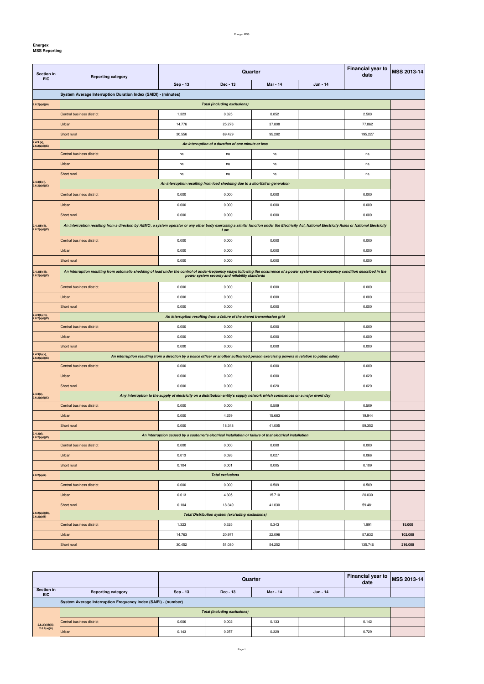**Energex**

| Section in<br><b>EIC</b>             | <b>Reporting category</b>                                                                                                                                                                                                                      | <b>Financial year to</b><br>Quarter<br>date                                                                                  |                                                                               |                 |          | <b>MSS 2013-14</b> |         |  |
|--------------------------------------|------------------------------------------------------------------------------------------------------------------------------------------------------------------------------------------------------------------------------------------------|------------------------------------------------------------------------------------------------------------------------------|-------------------------------------------------------------------------------|-----------------|----------|--------------------|---------|--|
|                                      |                                                                                                                                                                                                                                                | Sep - 13                                                                                                                     | Dec - 13                                                                      | <b>Mar - 14</b> | Jun - 14 |                    |         |  |
|                                      | System Average Interruption Duration Index (SAIDI) - (minutes)                                                                                                                                                                                 |                                                                                                                              |                                                                               |                 |          |                    |         |  |
| 2.6.2(a)(i)(A)                       | <b>Total (including exclusions)</b>                                                                                                                                                                                                            |                                                                                                                              |                                                                               |                 |          |                    |         |  |
|                                      | Central business district                                                                                                                                                                                                                      | 1.323                                                                                                                        | 0.325                                                                         | 0.852           |          | 2.500              |         |  |
|                                      | <b>Urban</b>                                                                                                                                                                                                                                   | 14.776                                                                                                                       | 25.276                                                                        | 37.808          |          | 77.862             |         |  |
|                                      | Short rural                                                                                                                                                                                                                                    | 30.556                                                                                                                       | 69.429                                                                        | 95.282          |          | 195.227            |         |  |
| $2.4.3$ (a),<br>2.6.2(a)(i)(C)       | An interruption of a duration of one minute or less                                                                                                                                                                                            |                                                                                                                              |                                                                               |                 |          |                    |         |  |
|                                      | Central business district                                                                                                                                                                                                                      | na                                                                                                                           | na                                                                            | na              |          | na                 |         |  |
|                                      | Urban                                                                                                                                                                                                                                          | na                                                                                                                           | na                                                                            | na              |          | na                 |         |  |
|                                      | Short rural                                                                                                                                                                                                                                    | na                                                                                                                           | na                                                                            | na              |          | na                 |         |  |
| 2.4.3(b)(i),<br>2.6.2(a)(i)(C)       |                                                                                                                                                                                                                                                |                                                                                                                              | An interruption resulting from load shedding due to a shortfall in generation |                 |          |                    |         |  |
|                                      | Central business district                                                                                                                                                                                                                      | 0.000                                                                                                                        | 0.000                                                                         | 0.000           |          | 0.000              |         |  |
|                                      | Urban                                                                                                                                                                                                                                          | 0.000                                                                                                                        | 0.000                                                                         | 0.000           |          | 0.000              |         |  |
|                                      | Short rural                                                                                                                                                                                                                                    | 0.000                                                                                                                        | 0.000                                                                         | 0.000           |          | 0.000              |         |  |
| 2.4.3(b)(ii),                        | An interruption resulting from a direction by AEMO, a system operator or any other body exercising a similar function under the Electricity Act, National Electricity Rules or National Electricity                                            |                                                                                                                              |                                                                               |                 |          |                    |         |  |
| 2.6.2(a)(i)(C)                       |                                                                                                                                                                                                                                                |                                                                                                                              | Law                                                                           |                 |          |                    |         |  |
|                                      | Central business district                                                                                                                                                                                                                      | 0.000                                                                                                                        | 0.000                                                                         | 0.000           |          | 0.000              |         |  |
|                                      | Urban                                                                                                                                                                                                                                          | 0.000                                                                                                                        | 0.000                                                                         | 0.000           |          | 0.000              |         |  |
|                                      | Short rural                                                                                                                                                                                                                                    | 0.000                                                                                                                        | 0.000                                                                         | 0.000           |          | 0.000              |         |  |
| $2.4.3(b)(iii),$<br>$2.6.2(a)(i)(C)$ | An interruption resulting from automatic shedding of load under the control of under-frequency relays following the occurrence of a power system under-frequency condition described in the<br>power system security and reliability standards |                                                                                                                              |                                                                               |                 |          |                    |         |  |
|                                      | Central business district                                                                                                                                                                                                                      | 0.000                                                                                                                        | 0.000                                                                         | 0.000           |          | 0.000              |         |  |
|                                      | Urban                                                                                                                                                                                                                                          | 0.000                                                                                                                        | 0.000                                                                         | 0.000           |          | 0.000              |         |  |
|                                      | Short rural                                                                                                                                                                                                                                    | 0.000                                                                                                                        | 0.000                                                                         | 0.000           |          | 0.000              |         |  |
| 2.4.3(b)(iv),                        |                                                                                                                                                                                                                                                |                                                                                                                              | An interruption resulting from a failure of the shared transmission grid      |                 |          |                    |         |  |
| 2.6.2(a)(i)(C)                       | Central business district                                                                                                                                                                                                                      | 0.000                                                                                                                        | 0.000                                                                         | 0.000           |          | 0.000              |         |  |
|                                      | <b>Urban</b>                                                                                                                                                                                                                                   | 0.000                                                                                                                        | 0.000                                                                         | 0.000           |          | 0.000              |         |  |
|                                      | Short rural                                                                                                                                                                                                                                    | 0.000                                                                                                                        | 0.000                                                                         | 0.000           |          | 0.000              |         |  |
| $2.4.3(b)(v),$<br>$2.6.2(a)(i)(C)$   | An interruption resulting from a direction by a police officer or another authorised person exercising powers in relation to public safety                                                                                                     |                                                                                                                              |                                                                               |                 |          |                    |         |  |
|                                      | Central business district                                                                                                                                                                                                                      | 0.000                                                                                                                        | 0.000                                                                         | 0.000           |          | 0.000              |         |  |
|                                      | Urban                                                                                                                                                                                                                                          | 0.000                                                                                                                        | 0.020                                                                         | 0.000           |          | 0.020              |         |  |
|                                      | Short rural                                                                                                                                                                                                                                    | 0.000                                                                                                                        | 0.000                                                                         | 0.020           |          | 0.020              |         |  |
| $2.4.3(c),$<br>$2.6.2(a)(i)(C)$      |                                                                                                                                                                                                                                                | Any interruption to the supply of electricity on a distribution entity's supply network which commences on a major event day |                                                                               |                 |          |                    |         |  |
|                                      | Central business district                                                                                                                                                                                                                      | 0.000                                                                                                                        | 0.000                                                                         | 0.509           |          | 0.509              |         |  |
|                                      | Urban                                                                                                                                                                                                                                          | 0.000                                                                                                                        | 4.259                                                                         | 15.683          |          | 19.944             |         |  |
|                                      | Short rural                                                                                                                                                                                                                                    | 0.000                                                                                                                        | 18.348                                                                        | 41.005          |          | 59.352             |         |  |
| $2.4.3(d),$<br>$2.6.2(a)(i)(C)$      |                                                                                                                                                                                                                                                | An interruption caused by a customer's electrical installation or failure of that electrical installation                    |                                                                               |                 |          |                    |         |  |
|                                      | Central business district                                                                                                                                                                                                                      | 0.000                                                                                                                        | 0.000                                                                         | 0.000           |          | 0.000              |         |  |
|                                      | <b>Urban</b>                                                                                                                                                                                                                                   | 0.013                                                                                                                        | 0.026                                                                         | 0.027           |          | 0.066              |         |  |
|                                      | Short rural                                                                                                                                                                                                                                    | 0.104                                                                                                                        | 0.001                                                                         | 0.005           |          | 0.109              |         |  |
| 2.6.2(a)(iii)                        |                                                                                                                                                                                                                                                |                                                                                                                              | <b>Total exclusions</b>                                                       |                 |          |                    |         |  |
|                                      | Central business district                                                                                                                                                                                                                      | 0.000                                                                                                                        | 0.000                                                                         | 0.509           |          | 0.509              |         |  |
|                                      | Urban                                                                                                                                                                                                                                          | 0.013                                                                                                                        | 4.305                                                                         | 15.710          |          | 20.030             |         |  |
|                                      | Short rural                                                                                                                                                                                                                                    | 0.104                                                                                                                        | 18.349                                                                        | 41.030          |          | 59.481             |         |  |
| 2.6.2(a)(i)(B),                      |                                                                                                                                                                                                                                                |                                                                                                                              | <b>Total Distribution system (excluding exclusions)</b>                       |                 |          |                    |         |  |
| 2.6.2(a)(iii)                        | Central business district<br>1.323<br>0.325<br>0.343<br>1.991                                                                                                                                                                                  |                                                                                                                              | 15.000                                                                        |                 |          |                    |         |  |
|                                      | <b>Urban</b>                                                                                                                                                                                                                                   | 14.763                                                                                                                       | 20.971                                                                        | 22.098          |          | 57.832             | 102.000 |  |
|                                      | Short rural                                                                                                                                                                                                                                    | 30.452                                                                                                                       | 51.080                                                                        | 54.252          |          | 135.746            | 216.000 |  |
|                                      |                                                                                                                                                                                                                                                |                                                                                                                              |                                                                               |                 |          |                    |         |  |

|                          |                                                                | <b>Quarter</b> |            |          |          | <b>Financial year to</b><br>date | <b>MSS 2013-14</b> |
|--------------------------|----------------------------------------------------------------|----------------|------------|----------|----------|----------------------------------|--------------------|
| Section in<br><b>EIC</b> | <b>Reporting category</b>                                      | $Sep-13$       | $Dec - 13$ | Mar - 14 | Jun - 14 |                                  |                    |
|                          | System Average Interruption Frequency Index (SAIFI) - (number) |                |            |          |          |                                  |                    |
|                          | <b>Total (including exclusions)</b>                            |                |            |          |          |                                  |                    |
| 2.6.2(a)(i)(A),          | Central business district                                      | 0.006          | 0.002      | 0.133    |          | 0.142                            |                    |
| 2.6.2(a)(iii)            | <b>Urban</b>                                                   | 0.143          | 0.257      | 0.329    |          | 0.729                            |                    |

Page 1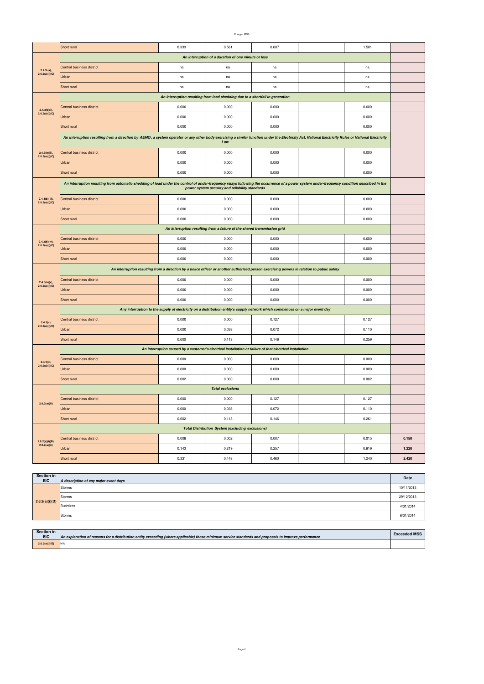|                                                     | Short rural                                                                                                                                                                                         | 0.333                                                                                                     | 0.561                                                                         | 0.607 |  | 1.501 |       |  |
|-----------------------------------------------------|-----------------------------------------------------------------------------------------------------------------------------------------------------------------------------------------------------|-----------------------------------------------------------------------------------------------------------|-------------------------------------------------------------------------------|-------|--|-------|-------|--|
| An interruption of a duration of one minute or less |                                                                                                                                                                                                     |                                                                                                           |                                                                               |       |  |       |       |  |
| $2.4.3$ (a),                                        | Central business district                                                                                                                                                                           | na                                                                                                        | na                                                                            | na    |  | na    |       |  |
| 2.6.2(a)(i)(C)                                      | Urban                                                                                                                                                                                               | na                                                                                                        | na                                                                            | na    |  | na    |       |  |
|                                                     | Short rural                                                                                                                                                                                         | na                                                                                                        | na                                                                            | na    |  | na    |       |  |
|                                                     |                                                                                                                                                                                                     |                                                                                                           | An interruption resulting from load shedding due to a shortfall in generation |       |  |       |       |  |
| $2.4.3(b)(i)$ ,                                     | Central business district                                                                                                                                                                           | 0.000                                                                                                     | 0.000                                                                         | 0.000 |  | 0.000 |       |  |
| 2.6.2(a)(i)(C)                                      | Urban                                                                                                                                                                                               | 0.000                                                                                                     | 0.000                                                                         | 0.000 |  | 0.000 |       |  |
|                                                     | Short rural                                                                                                                                                                                         | 0.000                                                                                                     | 0.000                                                                         | 0.000 |  | 0.000 |       |  |
|                                                     | An interruption resulting from a direction by AEMO, a system operator or any other body exercising a similar function under the Electricity Act, National Electricity Rules or National Electricity |                                                                                                           |                                                                               |       |  |       |       |  |
|                                                     | Law                                                                                                                                                                                                 |                                                                                                           |                                                                               |       |  |       |       |  |
| $2.4.3(b)(ii)$ ,<br>2.6.2(a)(i)(C)                  | Central business district                                                                                                                                                                           | 0.000                                                                                                     | 0.000                                                                         | 0.000 |  | 0.000 |       |  |
|                                                     | Urban<br>Short rural                                                                                                                                                                                | 0.000                                                                                                     | 0.000                                                                         | 0.000 |  | 0.000 |       |  |
|                                                     |                                                                                                                                                                                                     | 0.000                                                                                                     | 0.000                                                                         | 0.000 |  | 0.000 |       |  |
|                                                     | An interruption resulting from automatic shedding of load under the control of under-frequency relays following the occurrence of a power system under-frequency condition described in the         |                                                                                                           | power system security and reliability standards                               |       |  |       |       |  |
| $2.4.3(b)(iii)$ ,<br>2.6.2(a)(i)(C)                 | Central business district                                                                                                                                                                           | 0.000                                                                                                     | 0.000                                                                         | 0.000 |  | 0.000 |       |  |
|                                                     | Urban                                                                                                                                                                                               | 0.000                                                                                                     | 0.000                                                                         | 0.000 |  | 0.000 |       |  |
|                                                     | Short rural                                                                                                                                                                                         | 0.000                                                                                                     | 0.000                                                                         | 0.000 |  | 0.000 |       |  |
|                                                     | An interruption resulting from a failure of the shared transmission grid                                                                                                                            |                                                                                                           |                                                                               |       |  |       |       |  |
| 2.4.3(b)(iv),                                       | Central business district                                                                                                                                                                           | 0.000                                                                                                     | 0.000                                                                         | 0.000 |  | 0.000 |       |  |
| 2.6.2(a)(i)(C)                                      | Urban                                                                                                                                                                                               | 0.000                                                                                                     | 0.000                                                                         | 0.000 |  | 0.000 |       |  |
|                                                     | Short rural                                                                                                                                                                                         | 0.000                                                                                                     | 0.000                                                                         | 0.000 |  | 0.000 |       |  |
|                                                     | An interruption resulting from a direction by a police officer or another authorised person exercising powers in relation to public safety                                                          |                                                                                                           |                                                                               |       |  |       |       |  |
| 2.4.3(b)(v),                                        | Central business district                                                                                                                                                                           | 0.000                                                                                                     | 0.000                                                                         | 0.000 |  | 0.000 |       |  |
| 2.6.2(a)(i)(C)                                      | Urban                                                                                                                                                                                               | 0.000                                                                                                     | 0.000                                                                         | 0.000 |  | 0.000 |       |  |
|                                                     | Short rural                                                                                                                                                                                         | 0.000                                                                                                     | 0.000                                                                         | 0.000 |  | 0.000 |       |  |
|                                                     | Any interruption to the supply of electricity on a distribution entity's supply network which commences on a major event day                                                                        |                                                                                                           |                                                                               |       |  |       |       |  |
| $2.4.3(c)$ ,                                        | Central business district                                                                                                                                                                           | 0.000                                                                                                     | 0.000                                                                         | 0.127 |  | 0.127 |       |  |
| 2.6.2(a)(i)(C)                                      | Urban                                                                                                                                                                                               | 0.000                                                                                                     | 0.038                                                                         | 0.072 |  | 0.110 |       |  |
|                                                     | Short rural                                                                                                                                                                                         | 0.000                                                                                                     | 0.113                                                                         | 0.146 |  | 0.259 |       |  |
|                                                     |                                                                                                                                                                                                     | An interruption caused by a customer's electrical installation or failure of that electrical installation |                                                                               |       |  |       |       |  |
| 2.4.3(d),                                           | Central business district                                                                                                                                                                           | 0.000                                                                                                     | 0.000                                                                         | 0.000 |  | 0.000 |       |  |
| 2.6.2(a)(i)(C)                                      | Urban                                                                                                                                                                                               | 0.000                                                                                                     | 0.000                                                                         | 0.000 |  | 0.000 |       |  |
|                                                     | Short rural                                                                                                                                                                                         | 0.002                                                                                                     | 0.000                                                                         | 0.000 |  | 0.002 |       |  |
|                                                     |                                                                                                                                                                                                     |                                                                                                           | <b>Total exclusions</b>                                                       |       |  |       |       |  |
| 2.6.2(a)(iii)                                       | Central business district                                                                                                                                                                           | 0.000                                                                                                     | 0.000                                                                         | 0.127 |  | 0.127 |       |  |
|                                                     | Urban                                                                                                                                                                                               | 0.000                                                                                                     | 0.038                                                                         | 0.072 |  | 0.110 |       |  |
|                                                     | Short rural                                                                                                                                                                                         | 0.002                                                                                                     | 0.113                                                                         | 0.146 |  | 0.261 |       |  |
|                                                     |                                                                                                                                                                                                     |                                                                                                           | <b>Total Distribution System (excluding exclusions)</b>                       |       |  |       |       |  |
| $2.6.2(a)(i)(B),$<br>$2.6.2(a)(iii)$                | Central business district                                                                                                                                                                           | 0.006                                                                                                     | 0.002                                                                         | 0.007 |  | 0.015 | 0.150 |  |
|                                                     | Urban                                                                                                                                                                                               | 0.143                                                                                                     | 0.219                                                                         | 0.257 |  | 0.619 | 1.220 |  |
|                                                     | Short rural                                                                                                                                                                                         | 0.331                                                                                                     | 0.448                                                                         | 0.460 |  | 1.240 | 2.420 |  |

| <b>Section in</b><br><b>EIC</b> | A description of any major event days | Date       |
|---------------------------------|---------------------------------------|------------|
|                                 | Storms                                | 10/11/2013 |
|                                 | Storms                                | 29/12/2013 |
| 2.6.2(a)(i)(D)                  | Bushfires                             | 4/01/2014  |
|                                 | Storms                                | 6/01/2014  |

| <b>Section in</b><br><b>EIC</b> | An explanation of reasons for a distribution entity exceeding (where applicable) those minimum service standards and proposals to improve performance | <b>Exceeded MSS</b> |
|---------------------------------|-------------------------------------------------------------------------------------------------------------------------------------------------------|---------------------|
| 2.6.2(a)(i)(E)                  |                                                                                                                                                       |                     |

Page 2